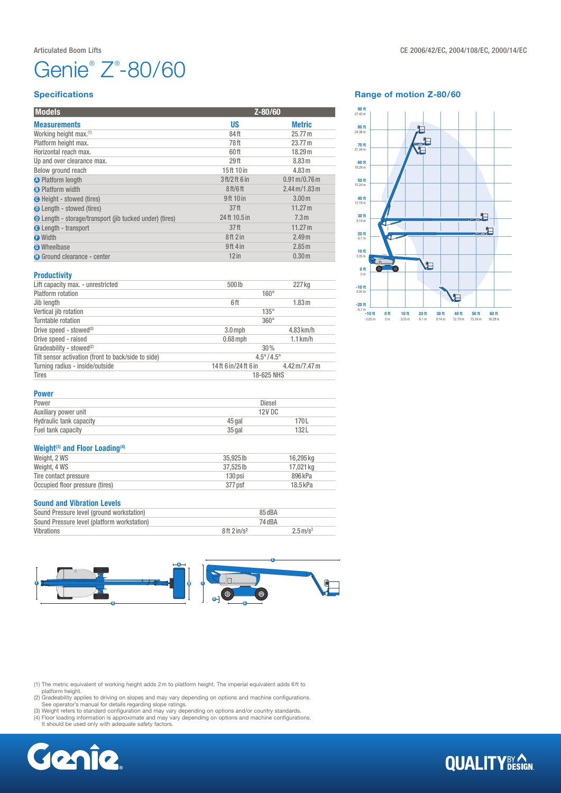# Genie<sup>®</sup> Z<sup>®</sup>-80/60

### **Specifications**

| <b>Models</b>                                                  | Z-80/60                          |                                         |
|----------------------------------------------------------------|----------------------------------|-----------------------------------------|
| <b>Measurements</b>                                            | US                               | <b>Metric</b>                           |
| Working height max.(1)                                         | 84ft                             | 25.77 m                                 |
| Platform height max.                                           | 78 ft                            | 23.77 m                                 |
| Horizontal reach max.                                          | 60 ft                            | 18.29 m                                 |
| Up and over clearance max.                                     | 29 <sub>ft</sub>                 | 8.83 m                                  |
| Below ground reach                                             | 15ft 10 in                       | 4.83 m                                  |
| <b>O</b> Platform length                                       | 3 ft/2 ft 6 in                   | $0.91 \,\mathrm{m}/0.76 \,\mathrm{m}$   |
| <b>B</b> Platform width                                        | 8 <sub>ft</sub> /6 <sub>ft</sub> | $2.44 \,\mathrm{m} / 1.83 \,\mathrm{m}$ |
| <b>O</b> Height - stowed (tires)                               | 9ft 10 in                        | 3.00 <sub>m</sub>                       |
| <b>O</b> Length - stowed (tires)                               | 37 <sub>ft</sub>                 | 11.27 m                                 |
| <b>O</b> Length - storage/transport (jib tucked under) (tires) | 24ft 10.5 in                     | 7.3 <sub>m</sub>                        |
| <b>B</b> Length - transport                                    | 37 <sub>ft</sub>                 | 11.27 m                                 |
| <b>O</b> Width                                                 | 8ft2in                           | 2.49 <sub>m</sub>                       |
| <b>O</b> Wheelbase                                             | $9ft$ 4 in                       | 2.85 m                                  |
| <b>O</b> Ground clearance - center                             | $12$ in                          | 0.30 <sub>m</sub>                       |
| <b>Productivity</b>                                            |                                  |                                         |

### Range of motion Z-80/60



Power

| Lift capacity max. - unrestricted                   | 500lb                     | 227 kg                                   |  |
|-----------------------------------------------------|---------------------------|------------------------------------------|--|
| <b>Platform</b> rotation                            | $160^\circ$               |                                          |  |
| Jib length                                          | 6ft                       | 1.83 <sub>m</sub>                        |  |
| Vertical jib rotation                               | $135^\circ$               |                                          |  |
| Turntable rotation                                  | $360^\circ$               |                                          |  |
| Drive speed - stowed <sup>(2)</sup>                 | $3.0$ mph                 | $4.83$ km/h                              |  |
| Drive speed - raised                                | $0.68$ mph                | $1.1$ km/h                               |  |
| Gradeability - stowed <sup>(2)</sup>                | 30%                       |                                          |  |
| Tilt sensor activation (front to back/side to side) | $4.5^{\circ}/4.5^{\circ}$ |                                          |  |
| Turning radius - inside/outside                     | 14ft 6 in/24ft 6 in       | $4.42 \,\mathrm{m}$ /7.47 $\,\mathrm{m}$ |  |
| <b>Tires</b>                                        | 18-625 NHS                |                                          |  |
|                                                     |                           |                                          |  |

| Auxiliary power unit    | <b>12V DC</b> |      |  |  |
|-------------------------|---------------|------|--|--|
| Hydraulic tank capacity | 45 gal        | 70 L |  |  |
| Fuel tank capacity      | $35$ gal      | 32L  |  |  |

### Weight $(3)$  and Floor Loading $(4)$

| Weight, 2 WS                    | 35.925 lb | 16.295 kg |
|---------------------------------|-----------|-----------|
| Weight, 4 WS                    | 37.525 lb | 17.021 kg |
| Tire contact pressure           | 130 psi   | 896 kPa   |
| Occupied floor pressure (tires) | 377 psf   | 18.5 kPa  |
|                                 |           |           |

Power Diesel

### Sound and Vibration Levels

| Sound Pressure level (ground workstation)   | 85 dBA            |                        |
|---------------------------------------------|-------------------|------------------------|
| Sound Pressure level (platform workstation) | 74 dBA            |                        |
| Vibrations                                  | $8ff$ 2 in/ $s^2$ | $2.5 \,\mathrm{m/s^2}$ |



(1) The metric equivalent of working height adds 2m to platform height. The imperial equivalent adds 6ft to

platform height.<br>(2) Gradeability applies to driving on slopes and may vary depending on options and machine configurations.<br>See operator's manual for details regarding slope ratings.<br>(3) Weight refers to standard configur

(4) Floor loading information is approximate and may vary depending on options and machine configurations. It should be used only with adequate safety factors.



### **QUALITY**BY CON